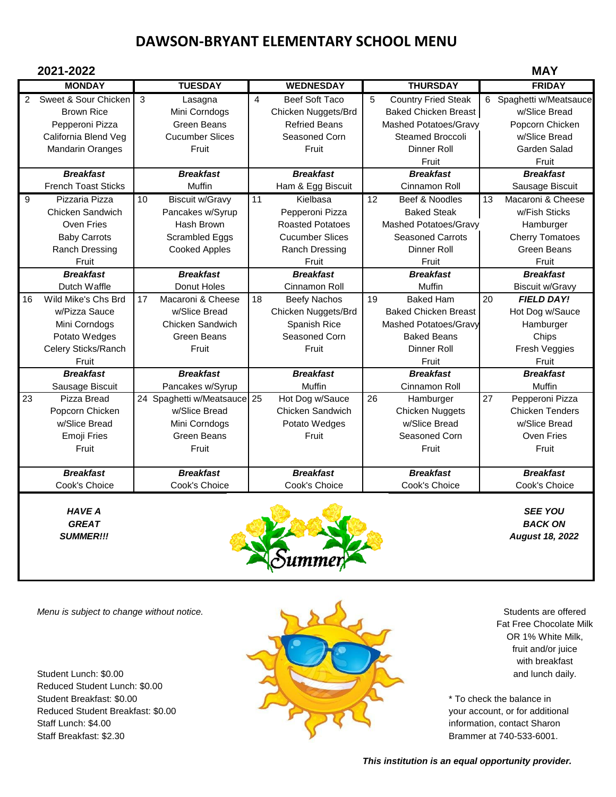## **DAWSON-BRYANT ELEMENTARY SCHOOL MENU**

| 2021-2022     |                                                                                      |    |                                                                          |    |                                                                                       |    |                                                                                                               |    | <b>MAY</b>                                                                   |
|---------------|--------------------------------------------------------------------------------------|----|--------------------------------------------------------------------------|----|---------------------------------------------------------------------------------------|----|---------------------------------------------------------------------------------------------------------------|----|------------------------------------------------------------------------------|
|               | <b>MONDAY</b>                                                                        |    | <b>TUESDAY</b>                                                           |    | <b>WEDNESDAY</b>                                                                      |    | <b>THURSDAY</b>                                                                                               |    | <b>FRIDAY</b>                                                                |
| $\mathcal{P}$ | Sweet & Sour Chicken<br><b>Brown Rice</b><br>Pepperoni Pizza<br>California Blend Veg | 3  | Lasagna<br>Mini Corndogs<br><b>Green Beans</b><br><b>Cucumber Slices</b> | 4  | <b>Beef Soft Taco</b><br>Chicken Nuggets/Brd<br><b>Refried Beans</b><br>Seasoned Corn | 5  | <b>Country Fried Steak</b><br><b>Baked Chicken Breast</b><br>Mashed Potatoes/Gravy<br><b>Steamed Broccoli</b> |    | 6 Spaghetti w/Meatsauce<br>w/Slice Bread<br>Popcorn Chicken<br>w/Slice Bread |
|               | <b>Mandarin Oranges</b>                                                              |    | Fruit                                                                    |    | Fruit                                                                                 |    | Dinner Roll<br>Fruit                                                                                          |    | Garden Salad<br>Fruit                                                        |
|               | <b>Breakfast</b>                                                                     |    | <b>Breakfast</b>                                                         |    | <b>Breakfast</b>                                                                      |    | <b>Breakfast</b>                                                                                              |    | <b>Breakfast</b>                                                             |
|               | <b>French Toast Sticks</b>                                                           |    | Muffin                                                                   |    | Ham & Egg Biscuit                                                                     |    | Cinnamon Roll                                                                                                 |    | Sausage Biscuit                                                              |
| 9             | Pizzaria Pizza                                                                       | 10 | <b>Biscuit w/Gravy</b>                                                   | 11 | Kielbasa                                                                              | 12 | Beef & Noodles                                                                                                | 13 | Macaroni & Cheese                                                            |
|               | Chicken Sandwich                                                                     |    | Pancakes w/Syrup                                                         |    | Pepperoni Pizza                                                                       |    | <b>Baked Steak</b>                                                                                            |    | w/Fish Sticks                                                                |
|               | Oven Fries                                                                           |    | Hash Brown                                                               |    | <b>Roasted Potatoes</b>                                                               |    | Mashed Potatoes/Gravy                                                                                         |    | Hamburger                                                                    |
|               | <b>Baby Carrots</b>                                                                  |    | Scrambled Eggs                                                           |    | <b>Cucumber Slices</b>                                                                |    | <b>Seasoned Carrots</b>                                                                                       |    | <b>Cherry Tomatoes</b>                                                       |
|               | Ranch Dressing                                                                       |    | <b>Cooked Apples</b>                                                     |    | Ranch Dressing                                                                        |    | <b>Dinner Roll</b>                                                                                            |    | <b>Green Beans</b>                                                           |
|               | Fruit                                                                                |    |                                                                          |    | Fruit                                                                                 |    | Fruit                                                                                                         |    | Fruit                                                                        |
|               | <b>Breakfast</b>                                                                     |    | <b>Breakfast</b>                                                         |    | <b>Breakfast</b>                                                                      |    | <b>Breakfast</b>                                                                                              |    | <b>Breakfast</b>                                                             |
|               | Dutch Waffle                                                                         |    | Donut Holes                                                              |    | Cinnamon Roll                                                                         |    | Muffin                                                                                                        |    | <b>Biscuit w/Gravy</b>                                                       |
| 16            | Wild Mike's Chs Brd                                                                  | 17 | Macaroni & Cheese                                                        | 18 | <b>Beefy Nachos</b>                                                                   | 19 | <b>Baked Ham</b>                                                                                              | 20 | <b>FIELD DAY!</b>                                                            |
|               | w/Pizza Sauce                                                                        |    | w/Slice Bread                                                            |    | Chicken Nuggets/Brd                                                                   |    | <b>Baked Chicken Breast</b>                                                                                   |    | Hot Dog w/Sauce                                                              |
|               | Mini Corndogs                                                                        |    | Chicken Sandwich                                                         |    | Spanish Rice                                                                          |    | Mashed Potatoes/Gravy                                                                                         |    | Hamburger                                                                    |
|               | Potato Wedges                                                                        |    | <b>Green Beans</b>                                                       |    | Seasoned Corn                                                                         |    | <b>Baked Beans</b>                                                                                            |    | Chips                                                                        |
|               | Celery Sticks/Ranch                                                                  |    | Fruit                                                                    |    | Fruit                                                                                 |    | Dinner Roll                                                                                                   |    | Fresh Veggies                                                                |
|               | Fruit                                                                                |    |                                                                          |    |                                                                                       |    | Fruit                                                                                                         |    | Fruit                                                                        |
|               | <b>Breakfast</b>                                                                     |    | <b>Breakfast</b>                                                         |    | <b>Breakfast</b>                                                                      |    | <b>Breakfast</b>                                                                                              |    | <b>Breakfast</b>                                                             |
|               | Sausage Biscuit                                                                      |    | Pancakes w/Syrup                                                         |    | Muffin                                                                                |    | Cinnamon Roll                                                                                                 |    | Muffin                                                                       |
| 23            | Pizza Bread                                                                          |    | 24 Spaghetti w/Meatsauce 25                                              |    | Hot Dog w/Sauce                                                                       | 26 | Hamburger                                                                                                     | 27 | Pepperoni Pizza                                                              |
|               | Popcorn Chicken                                                                      |    | w/Slice Bread                                                            |    | Chicken Sandwich                                                                      |    | <b>Chicken Nuggets</b>                                                                                        |    | <b>Chicken Tenders</b>                                                       |
|               | w/Slice Bread                                                                        |    | Mini Corndogs                                                            |    | Potato Wedges                                                                         |    | w/Slice Bread                                                                                                 |    | w/Slice Bread                                                                |
|               | Emoji Fries                                                                          |    | <b>Green Beans</b>                                                       |    | Fruit                                                                                 |    | Seasoned Corn                                                                                                 |    | Oven Fries                                                                   |
|               | Fruit                                                                                |    | Fruit                                                                    |    |                                                                                       |    | Fruit                                                                                                         |    | Fruit                                                                        |
|               | <b>Breakfast</b>                                                                     |    | <b>Breakfast</b>                                                         |    | <b>Breakfast</b>                                                                      |    | <b>Breakfast</b>                                                                                              |    | <b>Breakfast</b>                                                             |
|               | Cook's Choice                                                                        |    | Cook's Choice                                                            |    | Cook's Choice                                                                         |    | Cook's Choice                                                                                                 |    | Cook's Choice                                                                |



Reduced Student Lunch: \$0.00



 Fat Free Chocolate Milk OR 1% White Milk, fruit and/or juice with breakfast

 *This institution is an equal opportunity provider.*